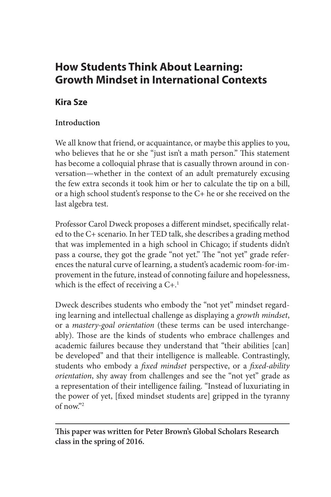# **How Students Think About Learning: Growth Mindset in International Contexts**

# **Kira Sze**

# **Introduction**

We all know that friend, or acquaintance, or maybe this applies to you, who believes that he or she "just isn't a math person." This statement has become a colloquial phrase that is casually thrown around in conversation—whether in the context of an adult prematurely excusing the few extra seconds it took him or her to calculate the tip on a bill, or a high school student's response to the C+ he or she received on the last algebra test.

Professor Carol Dweck proposes a different mindset, specifically related to the C+ scenario. In her TED talk, she describes a grading method that was implemented in a high school in Chicago; if students didn't pass a course, they got the grade "not yet." The "not yet" grade references the natural curve of learning, a student's academic room-for-improvement in the future, instead of connoting failure and hopelessness, which is the effect of receiving a  $C^{+1}$ .

Dweck describes students who embody the "not yet" mindset regarding learning and intellectual challenge as displaying a *growth mindset*, or a *mastery-goal orientation* (these terms can be used interchangeably). Those are the kinds of students who embrace challenges and academic failures because they understand that "their abilities [can] be developed" and that their intelligence is malleable. Contrastingly, students who embody a *fixed mindset* perspective, or a *fixed-ability orientation*, shy away from challenges and see the "not yet" grade as a representation of their intelligence failing. "Instead of luxuriating in the power of yet, [fixed mindset students are] gripped in the tyranny  $of now"2$ 

**This paper was written for Peter Brown's Global Scholars Research class in the spring of 2016.**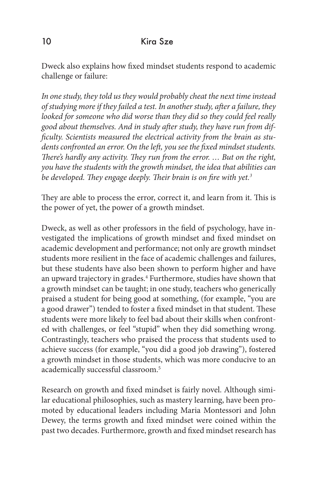Dweck also explains how fixed mindset students respond to academic challenge or failure:

*In one study, they told us they would probably cheat the next time instead of studying more if they failed a test. In another study, after a failure, they looked for someone who did worse than they did so they could feel really good about themselves. And in study after study, they have run from difficulty. Scientists measured the electrical activity from the brain as students confronted an error. On the left, you see the fixed mindset students. There's hardly any activity. They run from the error. … But on the right, you have the students with the growth mindset, the idea that abilities can be developed. They engage deeply. Their brain is on fire with yet.3*

They are able to process the error, correct it, and learn from it. This is the power of yet, the power of a growth mindset.

Dweck, as well as other professors in the field of psychology, have investigated the implications of growth mindset and fixed mindset on academic development and performance; not only are growth mindset students more resilient in the face of academic challenges and failures, but these students have also been shown to perform higher and have an upward trajectory in grades.<sup>4</sup> Furthermore, studies have shown that a growth mindset can be taught; in one study, teachers who generically praised a student for being good at something, (for example, "you are a good drawer") tended to foster a fixed mindset in that student. These students were more likely to feel bad about their skills when confronted with challenges, or feel "stupid" when they did something wrong. Contrastingly, teachers who praised the process that students used to achieve success (for example, "you did a good job drawing"), fostered a growth mindset in those students, which was more conducive to an academically successful classroom.5

Research on growth and fixed mindset is fairly novel. Although similar educational philosophies, such as mastery learning, have been promoted by educational leaders including Maria Montessori and John Dewey, the terms growth and fixed mindset were coined within the past two decades. Furthermore, growth and fixed mindset research has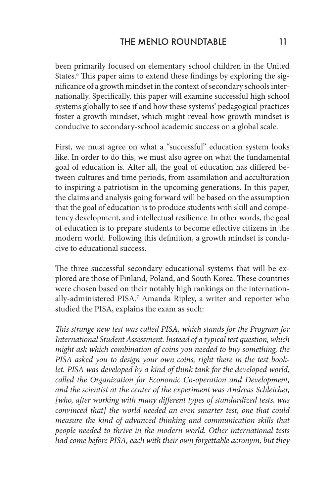been primarily focused on elementary school children in the United States.<sup>6</sup> This paper aims to extend these findings by exploring the significance of a growth mindset in the context of secondary schools internationally. Specifically, this paper will examine successful high school systems globally to see if and how these systems' pedagogical practices foster a growth mindset, which might reveal how growth mindset is conducive to secondary-school academic success on a global scale.

First, we must agree on what a "successful" education system looks like. In order to do this, we must also agree on what the fundamental goal of education is. After all, the goal of education has differed between cultures and time periods, from assimilation and acculturation to inspiring a patriotism in the upcoming generations. In this paper, the claims and analysis going forward will be based on the assumption that the goal of education is to produce students with skill and competency development, and intellectual resilience. In other words, the goal of education is to prepare students to become effective citizens in the modern world. Following this definition, a growth mindset is conducive to educational success.

The three successful secondary educational systems that will be explored are those of Finland, Poland, and South Korea. These countries were chosen based on their notably high rankings on the internationally-administered PISA.7 Amanda Ripley, a writer and reporter who studied the PISA, explains the exam as such:

*This strange new test was called PISA, which stands for the Program for International Student Assessment. Instead of a typical test question, which might ask which combination of coins you needed to buy something, the PISA asked you to design your own coins, right there in the test book*let. PISA was developed by a kind of think tank for the developed world, *called the Organization for Economic Co-operation and Development, and the scientist at the center of the experiment was Andreas Schleicher, [who, after working with many different types of standardized tests, was convinced that] the world needed an even smarter test, one that could measure the kind of advanced thinking and communication skills that people needed to thrive in the modern world. Other international tests had come before PISA, each with their own forgettable acronym, but they*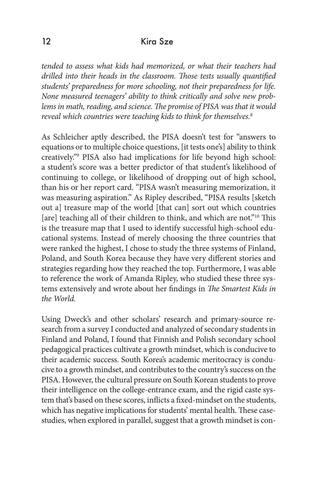*tended to assess what kids had memorized, or what their teachers had drilled into their heads in the classroom. Those tests usually quantified students' preparedness for more schooling, not their preparedness for life. None measured teenagers' ability to think critically and solve new problems in math, reading, and science. The promise of PISA was that it would reveal which countries were teaching kids to think for themselves.8*

As Schleicher aptly described, the PISA doesn't test for "answers to equations or to multiple choice questions, [it tests one's] ability to think creatively."9 PISA also had implications for life beyond high school: a student's score was a better predictor of that student's likelihood of continuing to college, or likelihood of dropping out of high school, than his or her report card. "PISA wasn't measuring memorization, it was measuring aspiration." As Ripley described, "PISA results [sketch out a] treasure map of the world [that can] sort out which countries [are] teaching all of their children to think, and which are not."<sup>10</sup> This is the treasure map that I used to identify successful high-school educational systems. Instead of merely choosing the three countries that were ranked the highest, I chose to study the three systems of Finland, Poland, and South Korea because they have very different stories and strategies regarding how they reached the top. Furthermore, I was able to reference the work of Amanda Ripley, who studied these three systems extensively and wrote about her findings in *The Smartest Kids in the World.*

Using Dweck's and other scholars' research and primary-source research from a survey I conducted and analyzed of secondary students in Finland and Poland, I found that Finnish and Polish secondary school pedagogical practices cultivate a growth mindset, which is conducive to their academic success. South Korea's academic meritocracy is conducive to a growth mindset, and contributes to the country's success on the PISA. However, the cultural pressure on South Korean students to prove their intelligence on the college-entrance exam, and the rigid caste system that's based on these scores, inflicts a fixed-mindset on the students, which has negative implications for students' mental health. These casestudies, when explored in parallel, suggest that a growth mindset is con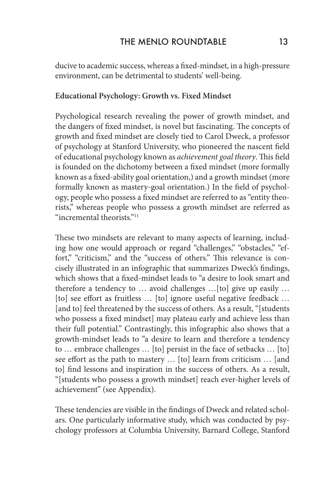ducive to academic success, whereas a fixed-mindset, in a high-pressure environment, can be detrimental to students' well-being.

#### **Educational Psychology: Growth vs. Fixed Mindset**

Psychological research revealing the power of growth mindset, and the dangers of fixed mindset, is novel but fascinating. The concepts of growth and fixed mindset are closely tied to Carol Dweck, a professor of psychology at Stanford University, who pioneered the nascent field of educational psychology known as *achievement goal theory*. This field is founded on the dichotomy between a fixed mindset (more formally known as a fixed-ability goal orientation,) and a growth mindset (more formally known as mastery-goal orientation.) In the field of psychology, people who possess a fixed mindset are referred to as "entity theorists," whereas people who possess a growth mindset are referred as "incremental theorists."11

These two mindsets are relevant to many aspects of learning, including how one would approach or regard "challenges," "obstacles," "effort," "criticism," and the "success of others." This relevance is concisely illustrated in an infographic that summarizes Dweck's findings, which shows that a fixed-mindset leads to "a desire to look smart and therefore a tendency to … avoid challenges …[to] give up easily … [to] see effort as fruitless ... [to] ignore useful negative feedback ... [and to] feel threatened by the success of others. As a result, "[students] who possess a fixed mindset] may plateau early and achieve less than their full potential." Contrastingly, this infographic also shows that a growth-mindset leads to "a desire to learn and therefore a tendency to … embrace challenges … [to] persist in the face of setbacks … [to] see effort as the path to mastery … [to] learn from criticism … [and to] find lessons and inspiration in the success of others. As a result, "[students who possess a growth mindset] reach ever-higher levels of achievement" (see Appendix).

These tendencies are visible in the findings of Dweck and related scholars. One particularly informative study, which was conducted by psychology professors at Columbia University, Barnard College, Stanford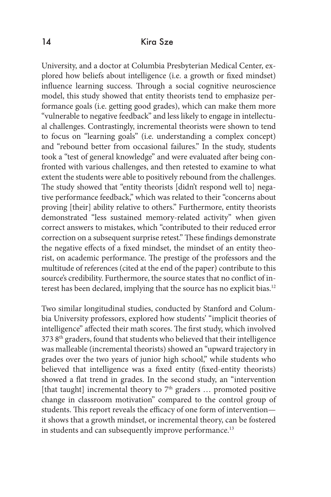University, and a doctor at Columbia Presbyterian Medical Center, explored how beliefs about intelligence (i.e. a growth or fixed mindset) influence learning success. Through a social cognitive neuroscience model, this study showed that entity theorists tend to emphasize performance goals (i.e. getting good grades), which can make them more "vulnerable to negative feedback" and less likely to engage in intellectual challenges. Contrastingly, incremental theorists were shown to tend to focus on "learning goals" (i.e. understanding a complex concept) and "rebound better from occasional failures." In the study, students took a "test of general knowledge" and were evaluated after being confronted with various challenges, and then retested to examine to what extent the students were able to positively rebound from the challenges. The study showed that "entity theorists [didn't respond well to] negative performance feedback," which was related to their "concerns about proving [their] ability relative to others." Furthermore, entity theorists demonstrated "less sustained memory-related activity" when given correct answers to mistakes, which "contributed to their reduced error correction on a subsequent surprise retest." These findings demonstrate the negative effects of a fixed mindset, the mindset of an entity theorist, on academic performance. The prestige of the professors and the multitude of references (cited at the end of the paper) contribute to this source's credibility. Furthermore, the source states that no conflict of interest has been declared, implying that the source has no explicit bias.<sup>12</sup>

Two similar longitudinal studies, conducted by Stanford and Columbia University professors, explored how students' "implicit theories of intelligence" affected their math scores. The first study, which involved  $3738<sup>th</sup>$  graders, found that students who believed that their intelligence was malleable (incremental theorists) showed an "upward trajectory in grades over the two years of junior high school," while students who believed that intelligence was a fixed entity (fixed-entity theorists) showed a flat trend in grades. In the second study, an "intervention [that taught] incremental theory to  $7<sup>th</sup>$  graders ... promoted positive change in classroom motivation" compared to the control group of students. This report reveals the efficacy of one form of intervention it shows that a growth mindset, or incremental theory, can be fostered in students and can subsequently improve performance.<sup>13</sup>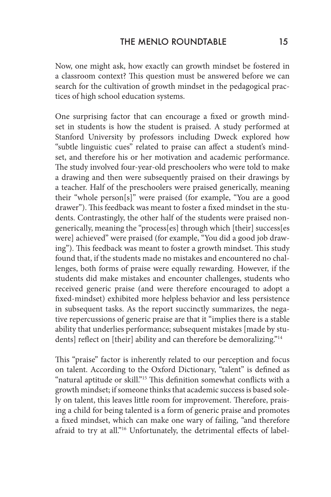Now, one might ask, how exactly can growth mindset be fostered in a classroom context? This question must be answered before we can search for the cultivation of growth mindset in the pedagogical practices of high school education systems.

One surprising factor that can encourage a fixed or growth mindset in students is how the student is praised. A study performed at Stanford University by professors including Dweck explored how "subtle linguistic cues" related to praise can affect a student's mindset, and therefore his or her motivation and academic performance. The study involved four-year-old preschoolers who were told to make a drawing and then were subsequently praised on their drawings by a teacher. Half of the preschoolers were praised generically, meaning their "whole person[s]" were praised (for example, "You are a good drawer"). This feedback was meant to foster a fixed mindset in the students. Contrastingly, the other half of the students were praised nongenerically, meaning the "process[es] through which [their] success[es were] achieved" were praised (for example, "You did a good job drawing"). This feedback was meant to foster a growth mindset. This study found that, if the students made no mistakes and encountered no challenges, both forms of praise were equally rewarding. However, if the students did make mistakes and encounter challenges, students who received generic praise (and were therefore encouraged to adopt a fixed-mindset) exhibited more helpless behavior and less persistence in subsequent tasks. As the report succinctly summarizes, the negative repercussions of generic praise are that it "implies there is a stable ability that underlies performance; subsequent mistakes [made by students] reflect on [their] ability and can therefore be demoralizing."<sup>14</sup>

This "praise" factor is inherently related to our perception and focus on talent. According to the Oxford Dictionary, "talent" is defined as "natural aptitude or skill."15 This definition somewhat conflicts with a growth mindset; if someone thinks that academic success is based solely on talent, this leaves little room for improvement. Therefore, praising a child for being talented is a form of generic praise and promotes a fixed mindset, which can make one wary of failing, "and therefore afraid to try at all."<sup>16</sup> Unfortunately, the detrimental effects of label-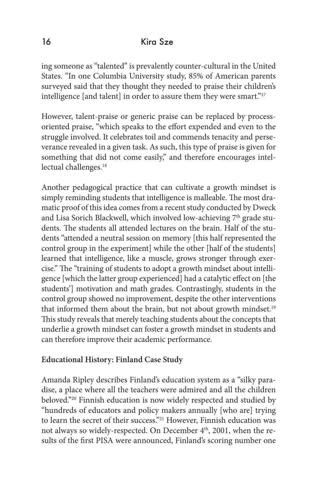ing someone as "talented" is prevalently counter-cultural in the United States. "In one Columbia University study, 85% of American parents surveyed said that they thought they needed to praise their children's intelligence [and talent] in order to assure them they were smart."<sup>17</sup>

However, talent-praise or generic praise can be replaced by processoriented praise, "which speaks to the effort expended and even to the struggle involved. It celebrates toil and commends tenacity and perseverance revealed in a given task. As such, this type of praise is given for something that did not come easily," and therefore encourages intellectual challenges.<sup>18</sup>

Another pedagogical practice that can cultivate a growth mindset is simply reminding students that intelligence is malleable. The most dramatic proof of this idea comes from a recent study conducted by Dweck and Lisa Sorich Blackwell, which involved low-achieving  $7<sup>th</sup>$  grade students. The students all attended lectures on the brain. Half of the students "attended a neutral session on memory [this half represented the control group in the experiment] while the other [half of the students] learned that intelligence, like a muscle, grows stronger through exercise." The "training of students to adopt a growth mindset about intelligence [which the latter group experienced] had a catalytic effect on [the students'] motivation and math grades. Contrastingly, students in the control group showed no improvement, despite the other interventions that informed them about the brain, but not about growth mindset.<sup>19</sup> This study reveals that merely teaching students about the concepts that underlie a growth mindset can foster a growth mindset in students and can therefore improve their academic performance.

### **Educational History: Finland Case Study**

Amanda Ripley describes Finland's education system as a "silky paradise, a place where all the teachers were admired and all the children beloved."20 Finnish education is now widely respected and studied by "hundreds of educators and policy makers annually [who are] trying to learn the secret of their success."<sup>21</sup> However, Finnish education was not always so widely-respected. On December 4<sup>th</sup>, 2001, when the results of the first PISA were announced, Finland's scoring number one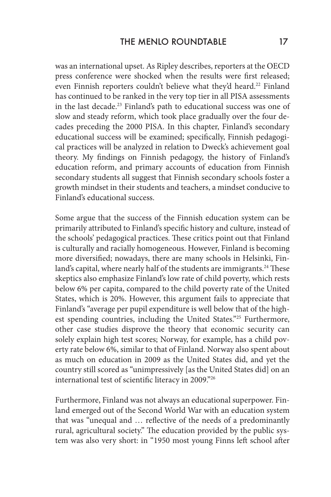was an international upset. As Ripley describes, reporters at the OECD press conference were shocked when the results were first released; even Finnish reporters couldn't believe what they'd heard.<sup>22</sup> Finland has continued to be ranked in the very top tier in all PISA assessments in the last decade.23 Finland's path to educational success was one of slow and steady reform, which took place gradually over the four decades preceding the 2000 PISA. In this chapter, Finland's secondary educational success will be examined; specifically, Finnish pedagogical practices will be analyzed in relation to Dweck's achievement goal theory. My findings on Finnish pedagogy, the history of Finland's education reform, and primary accounts of education from Finnish secondary students all suggest that Finnish secondary schools foster a growth mindset in their students and teachers, a mindset conducive to Finland's educational success.

Some argue that the success of the Finnish education system can be primarily attributed to Finland's specific history and culture, instead of the schools' pedagogical practices. These critics point out that Finland is culturally and racially homogeneous. However, Finland is becoming more diversified; nowadays, there are many schools in Helsinki, Finland's capital, where nearly half of the students are immigrants.<sup>24</sup> These skeptics also emphasize Finland's low rate of child poverty, which rests below 6% per capita, compared to the child poverty rate of the United States, which is 20%. However, this argument fails to appreciate that Finland's "average per pupil expenditure is well below that of the highest spending countries, including the United States."25 Furthermore, other case studies disprove the theory that economic security can solely explain high test scores; Norway, for example, has a child poverty rate below 6%, similar to that of Finland. Norway also spent about as much on education in 2009 as the United States did, and yet the country still scored as "unimpressively [as the United States did] on an international test of scientific literacy in 2009."26

Furthermore, Finland was not always an educational superpower. Finland emerged out of the Second World War with an education system that was "unequal and … reflective of the needs of a predominantly rural, agricultural society." The education provided by the public system was also very short: in "1950 most young Finns left school after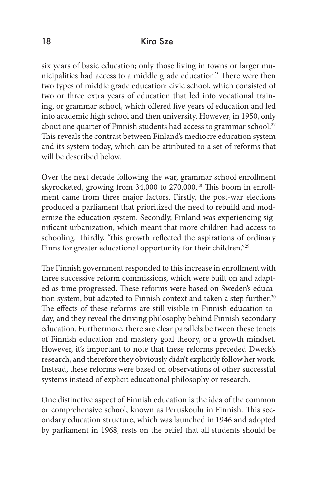six years of basic education; only those living in towns or larger municipalities had access to a middle grade education." There were then two types of middle grade education: civic school, which consisted of two or three extra years of education that led into vocational training, or grammar school, which offered five years of education and led into academic high school and then university. However, in 1950, only about one quarter of Finnish students had access to grammar school.<sup>27</sup> This reveals the contrast between Finland's mediocre education system and its system today, which can be attributed to a set of reforms that will be described below.

Over the next decade following the war, grammar school enrollment skyrocketed, growing from 34,000 to 270,000.28 This boom in enrollment came from three major factors. Firstly, the post-war elections produced a parliament that prioritized the need to rebuild and modernize the education system. Secondly, Finland was experiencing significant urbanization, which meant that more children had access to schooling. Thirdly, "this growth reflected the aspirations of ordinary Finns for greater educational opportunity for their children."<sup>29</sup>

The Finnish government responded to this increase in enrollment with three successive reform commissions, which were built on and adapted as time progressed. These reforms were based on Sweden's education system, but adapted to Finnish context and taken a step further.<sup>30</sup> The effects of these reforms are still visible in Finnish education today, and they reveal the driving philosophy behind Finnish secondary education. Furthermore, there are clear parallels be tween these tenets of Finnish education and mastery goal theory, or a growth mindset. However, it's important to note that these reforms preceded Dweck's research, and therefore they obviously didn't explicitly follow her work. Instead, these reforms were based on observations of other successful systems instead of explicit educational philosophy or research.

One distinctive aspect of Finnish education is the idea of the common or comprehensive school, known as Peruskoulu in Finnish. This secondary education structure, which was launched in 1946 and adopted by parliament in 1968, rests on the belief that all students should be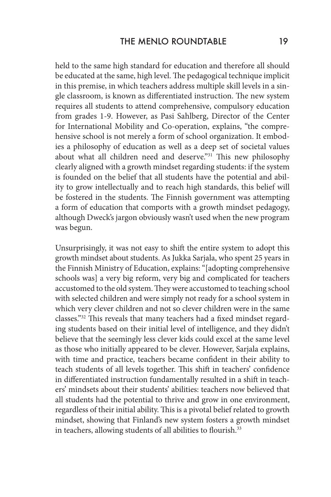held to the same high standard for education and therefore all should be educated at the same, high level. The pedagogical technique implicit in this premise, in which teachers address multiple skill levels in a single classroom, is known as differentiated instruction. The new system requires all students to attend comprehensive, compulsory education from grades 1-9. However, as Pasi Sahlberg, Director of the Center for International Mobility and Co-operation, explains, "the comprehensive school is not merely a form of school organization. It embodies a philosophy of education as well as a deep set of societal values about what all children need and deserve."<sup>31</sup> This new philosophy clearly aligned with a growth mindset regarding students: if the system is founded on the belief that all students have the potential and ability to grow intellectually and to reach high standards, this belief will be fostered in the students. The Finnish government was attempting a form of education that comports with a growth mindset pedagogy, although Dweck's jargon obviously wasn't used when the new program was begun.

Unsurprisingly, it was not easy to shift the entire system to adopt this growth mindset about students. As Jukka Sarjala, who spent 25 years in the Finnish Ministry of Education, explains: "[adopting comprehensive schools was] a very big reform, very big and complicated for teachers accustomed to the old system. They were accustomed to teaching school with selected children and were simply not ready for a school system in which very clever children and not so clever children were in the same classes."32 This reveals that many teachers had a fixed mindset regarding students based on their initial level of intelligence, and they didn't believe that the seemingly less clever kids could excel at the same level as those who initially appeared to be clever. However, Sarjala explains, with time and practice, teachers became confident in their ability to teach students of all levels together. This shift in teachers' confidence in differentiated instruction fundamentally resulted in a shift in teachers' mindsets about their students' abilities: teachers now believed that all students had the potential to thrive and grow in one environment, regardless of their initial ability. This is a pivotal belief related to growth mindset, showing that Finland's new system fosters a growth mindset in teachers, allowing students of all abilities to flourish.<sup>33</sup>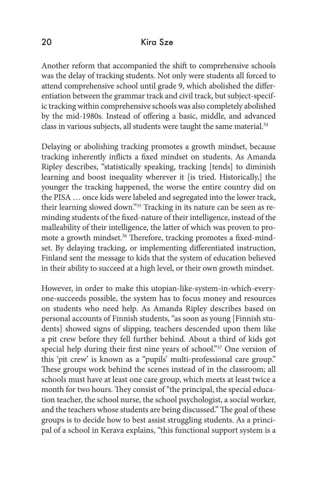Another reform that accompanied the shift to comprehensive schools was the delay of tracking students. Not only were students all forced to attend comprehensive school until grade 9, which abolished the differentiation between the grammar track and civil track, but subject-specific tracking within comprehensive schools was also completely abolished by the mid-1980s. Instead of offering a basic, middle, and advanced class in various subjects, all students were taught the same material.<sup>34</sup>

Delaying or abolishing tracking promotes a growth mindset, because tracking inherently inflicts a fixed mindset on students. As Amanda Ripley describes, "statistically speaking, tracking [tends] to diminish learning and boost inequality wherever it [is tried. Historically,] the younger the tracking happened, the worse the entire country did on the PISA … once kids were labeled and segregated into the lower track, their learning slowed down."<sup>35</sup> Tracking in its nature can be seen as reminding students of the fixed-nature of their intelligence, instead of the malleability of their intelligence, the latter of which was proven to promote a growth mindset.<sup>36</sup> Therefore, tracking promotes a fixed-mindset. By delaying tracking, or implementing differentiated instruction, Finland sent the message to kids that the system of education believed in their ability to succeed at a high level, or their own growth mindset.

However, in order to make this utopian-like-system-in-which-everyone-succeeds possible, the system has to focus money and resources on students who need help. As Amanda Ripley describes based on personal accounts of Finnish students, "as soon as young [Finnish students] showed signs of slipping, teachers descended upon them like a pit crew before they fell further behind. About a third of kids got special help during their first nine years of school."<sup>37</sup> One version of this 'pit crew' is known as a "pupils' multi-professional care group." These groups work behind the scenes instead of in the classroom; all schools must have at least one care group, which meets at least twice a month for two hours. They consist of "the principal, the special education teacher, the school nurse, the school psychologist, a social worker, and the teachers whose students are being discussed." The goal of these groups is to decide how to best assist struggling students. As a principal of a school in Kerava explains, "this functional support system is a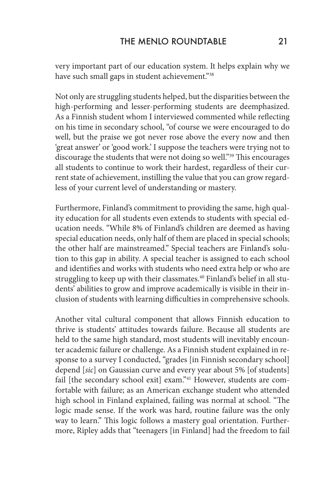very important part of our education system. It helps explain why we have such small gaps in student achievement."38

Not only are struggling students helped, but the disparities between the high-performing and lesser-performing students are deemphasized. As a Finnish student whom I interviewed commented while reflecting on his time in secondary school, "of course we were encouraged to do well, but the praise we got never rose above the every now and then 'great answer' or 'good work.' I suppose the teachers were trying not to discourage the students that were not doing so well."39 This encourages all students to continue to work their hardest, regardless of their current state of achievement, instilling the value that you can grow regardless of your current level of understanding or mastery.

Furthermore, Finland's commitment to providing the same, high quality education for all students even extends to students with special education needs. "While 8% of Finland's children are deemed as having special education needs, only half of them are placed in special schools; the other half are mainstreamed." Special teachers are Finland's solution to this gap in ability. A special teacher is assigned to each school and identifies and works with students who need extra help or who are struggling to keep up with their classmates.<sup>40</sup> Finland's belief in all students' abilities to grow and improve academically is visible in their inclusion of students with learning difficulties in comprehensive schools.

Another vital cultural component that allows Finnish education to thrive is students' attitudes towards failure. Because all students are held to the same high standard, most students will inevitably encounter academic failure or challenge. As a Finnish student explained in response to a survey I conducted, "grades [in Finnish secondary school] depend [*sic*] on Gaussian curve and every year about 5% [of students] fail [the secondary school exit] exam."<sup>41</sup> However, students are comfortable with failure; as an American exchange student who attended high school in Finland explained, failing was normal at school. "The logic made sense. If the work was hard, routine failure was the only way to learn." This logic follows a mastery goal orientation. Furthermore, Ripley adds that "teenagers [in Finland] had the freedom to fail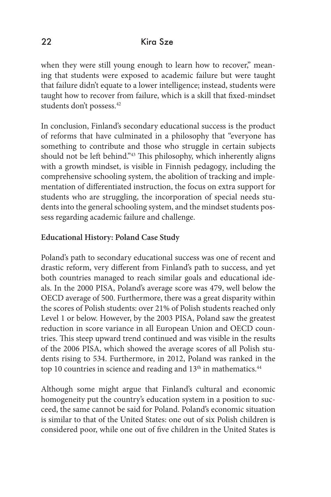when they were still young enough to learn how to recover," meaning that students were exposed to academic failure but were taught that failure didn't equate to a lower intelligence; instead, students were taught how to recover from failure, which is a skill that fixed-mindset students don't possess.<sup>42</sup>

In conclusion, Finland's secondary educational success is the product of reforms that have culminated in a philosophy that "everyone has something to contribute and those who struggle in certain subjects should not be left behind."<sup>43</sup> This philosophy, which inherently aligns with a growth mindset, is visible in Finnish pedagogy, including the comprehensive schooling system, the abolition of tracking and implementation of differentiated instruction, the focus on extra support for students who are struggling, the incorporation of special needs students into the general schooling system, and the mindset students possess regarding academic failure and challenge.

### **Educational History: Poland Case Study**

Poland's path to secondary educational success was one of recent and drastic reform, very different from Finland's path to success, and yet both countries managed to reach similar goals and educational ideals. In the 2000 PISA, Poland's average score was 479, well below the OECD average of 500. Furthermore, there was a great disparity within the scores of Polish students: over 21% of Polish students reached only Level 1 or below. However, by the 2003 PISA, Poland saw the greatest reduction in score variance in all European Union and OECD countries. This steep upward trend continued and was visible in the results of the 2006 PISA, which showed the average scores of all Polish students rising to 534. Furthermore, in 2012, Poland was ranked in the top 10 countries in science and reading and 13<sup>th</sup> in mathematics.<sup>44</sup>

Although some might argue that Finland's cultural and economic homogeneity put the country's education system in a position to succeed, the same cannot be said for Poland. Poland's economic situation is similar to that of the United States: one out of six Polish children is considered poor, while one out of five children in the United States is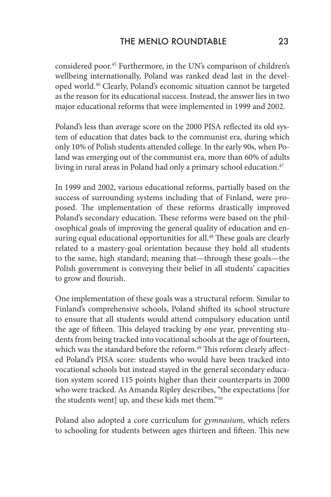considered poor.45 Furthermore, in the UN's comparison of children's wellbeing internationally, Poland was ranked dead last in the developed world.46 Clearly, Poland's economic situation cannot be targeted as the reason for its educational success. Instead, the answer lies in two major educational reforms that were implemented in 1999 and 2002.

Poland's less than average score on the 2000 PISA reflected its old system of education that dates back to the communist era, during which only 10% of Polish students attended college. In the early 90s, when Poland was emerging out of the communist era, more than 60% of adults living in rural areas in Poland had only a primary school education.<sup>47</sup>

In 1999 and 2002, various educational reforms, partially based on the success of surrounding systems including that of Finland, were proposed. The implementation of these reforms drastically improved Poland's secondary education. These reforms were based on the philosophical goals of improving the general quality of education and ensuring equal educational opportunities for all.<sup>48</sup> These goals are clearly related to a mastery-goal orientation because they hold all students to the same, high standard; meaning that—through these goals—the Polish government is conveying their belief in all students' capacities to grow and flourish.

One implementation of these goals was a structural reform. Similar to Finland's comprehensive schools, Poland shifted its school structure to ensure that all students would attend compulsory education until the age of fifteen. This delayed tracking by one year, preventing students from being tracked into vocational schools at the age of fourteen, which was the standard before the reform.<sup>49</sup> This reform clearly affected Poland's PISA score: students who would have been tracked into vocational schools but instead stayed in the general secondary education system scored 115 points higher than their counterparts in 2000 who were tracked. As Amanda Ripley describes, "the expectations [for the students went] up, and these kids met them."50

Poland also adopted a core curriculum for *gymnasium*, which refers to schooling for students between ages thirteen and fifteen. This new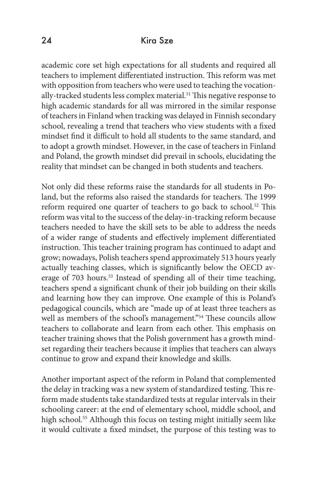academic core set high expectations for all students and required all teachers to implement differentiated instruction. This reform was met with opposition from teachers who were used to teaching the vocationally-tracked students less complex material.<sup>51</sup> This negative response to high academic standards for all was mirrored in the similar response of teachers in Finland when tracking was delayed in Finnish secondary school, revealing a trend that teachers who view students with a fixed mindset find it difficult to hold all students to the same standard, and to adopt a growth mindset. However, in the case of teachers in Finland and Poland, the growth mindset did prevail in schools, elucidating the reality that mindset can be changed in both students and teachers.

Not only did these reforms raise the standards for all students in Poland, but the reforms also raised the standards for teachers. The 1999 reform required one quarter of teachers to go back to school.<sup>52</sup> This reform was vital to the success of the delay-in-tracking reform because teachers needed to have the skill sets to be able to address the needs of a wider range of students and effectively implement differentiated instruction. This teacher training program has continued to adapt and grow; nowadays, Polish teachers spend approximately 513 hours yearly actually teaching classes, which is significantly below the OECD average of 703 hours.<sup>53</sup> Instead of spending all of their time teaching, teachers spend a significant chunk of their job building on their skills and learning how they can improve. One example of this is Poland's pedagogical councils, which are "made up of at least three teachers as well as members of the school's management."<sup>54</sup> These councils allow teachers to collaborate and learn from each other. This emphasis on teacher training shows that the Polish government has a growth mindset regarding their teachers because it implies that teachers can always continue to grow and expand their knowledge and skills.

Another important aspect of the reform in Poland that complemented the delay in tracking was a new system of standardized testing. This reform made students take standardized tests at regular intervals in their schooling career: at the end of elementary school, middle school, and high school.<sup>55</sup> Although this focus on testing might initially seem like it would cultivate a fixed mindset, the purpose of this testing was to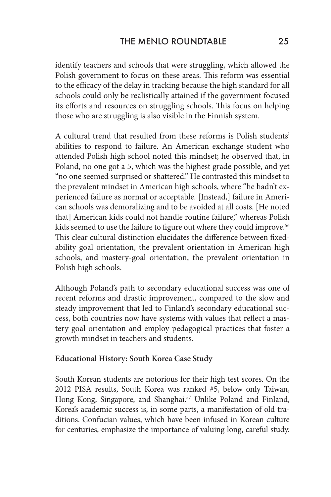identify teachers and schools that were struggling, which allowed the Polish government to focus on these areas. This reform was essential to the efficacy of the delay in tracking because the high standard for all schools could only be realistically attained if the government focused its efforts and resources on struggling schools. This focus on helping those who are struggling is also visible in the Finnish system.

A cultural trend that resulted from these reforms is Polish students' abilities to respond to failure. An American exchange student who attended Polish high school noted this mindset; he observed that, in Poland, no one got a 5, which was the highest grade possible, and yet "no one seemed surprised or shattered." He contrasted this mindset to the prevalent mindset in American high schools, where "he hadn't experienced failure as normal or acceptable. [Instead,] failure in American schools was demoralizing and to be avoided at all costs. [He noted that] American kids could not handle routine failure," whereas Polish kids seemed to use the failure to figure out where they could improve.<sup>56</sup> This clear cultural distinction elucidates the difference between fixedability goal orientation, the prevalent orientation in American high schools, and mastery-goal orientation, the prevalent orientation in Polish high schools.

Although Poland's path to secondary educational success was one of recent reforms and drastic improvement, compared to the slow and steady improvement that led to Finland's secondary educational success, both countries now have systems with values that reflect a mastery goal orientation and employ pedagogical practices that foster a growth mindset in teachers and students.

#### **Educational History: South Korea Case Study**

South Korean students are notorious for their high test scores. On the 2012 PISA results, South Korea was ranked #5, below only Taiwan, Hong Kong, Singapore, and Shanghai.<sup>57</sup> Unlike Poland and Finland, Korea's academic success is, in some parts, a manifestation of old traditions. Confucian values, which have been infused in Korean culture for centuries, emphasize the importance of valuing long, careful study.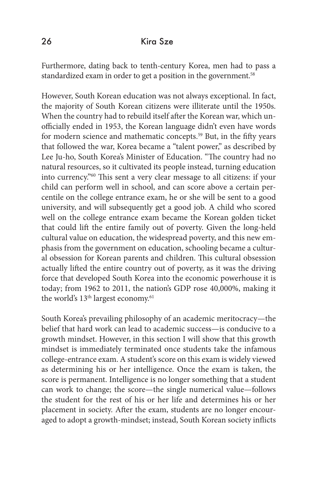Furthermore, dating back to tenth-century Korea, men had to pass a standardized exam in order to get a position in the government.<sup>58</sup>

However, South Korean education was not always exceptional. In fact, the majority of South Korean citizens were illiterate until the 1950s. When the country had to rebuild itself after the Korean war, which unofficially ended in 1953, the Korean language didn't even have words for modern science and mathematic concepts.59 But, in the fifty years that followed the war, Korea became a "talent power," as described by Lee Ju-ho, South Korea's Minister of Education. "The country had no natural resources, so it cultivated its people instead, turning education into currency."60 This sent a very clear message to all citizens: if your child can perform well in school, and can score above a certain percentile on the college entrance exam, he or she will be sent to a good university, and will subsequently get a good job. A child who scored well on the college entrance exam became the Korean golden ticket that could lift the entire family out of poverty. Given the long-held cultural value on education, the widespread poverty, and this new emphasis from the government on education, schooling became a cultural obsession for Korean parents and children. This cultural obsession actually lifted the entire country out of poverty, as it was the driving force that developed South Korea into the economic powerhouse it is today; from 1962 to 2011, the nation's GDP rose 40,000%, making it the world's  $13<sup>th</sup>$  largest economy.<sup>61</sup>

South Korea's prevailing philosophy of an academic meritocracy—the belief that hard work can lead to academic success—is conducive to a growth mindset. However, in this section I will show that this growth mindset is immediately terminated once students take the infamous college-entrance exam. A student's score on this exam is widely viewed as determining his or her intelligence. Once the exam is taken, the score is permanent. Intelligence is no longer something that a student can work to change; the score—the single numerical value—follows the student for the rest of his or her life and determines his or her placement in society. After the exam, students are no longer encouraged to adopt a growth-mindset; instead, South Korean society inflicts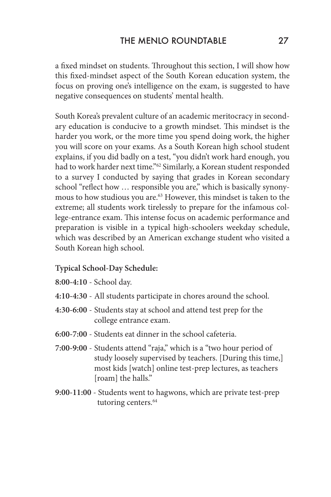a fixed mindset on students. Throughout this section, I will show how this fixed-mindset aspect of the South Korean education system, the focus on proving one's intelligence on the exam, is suggested to have negative consequences on students' mental health.

South Korea's prevalent culture of an academic meritocracy in secondary education is conducive to a growth mindset. This mindset is the harder you work, or the more time you spend doing work, the higher you will score on your exams. As a South Korean high school student explains, if you did badly on a test, "you didn't work hard enough, you had to work harder next time."<sup>62</sup> Similarly, a Korean student responded to a survey I conducted by saying that grades in Korean secondary school "reflect how ... responsible you are," which is basically synonymous to how studious you are.<sup>63</sup> However, this mindset is taken to the extreme; all students work tirelessly to prepare for the infamous college-entrance exam. This intense focus on academic performance and preparation is visible in a typical high-schoolers weekday schedule, which was described by an American exchange student who visited a South Korean high school.

#### **Typical School-Day Schedule:**

- **8:00-4:10** School day.
- **4:10-4:30** All students participate in chores around the school.
- **4:30-6:00** Students stay at school and attend test prep for the college entrance exam.
- **6:00-7:00** Students eat dinner in the school cafeteria.
- **7:00-9:00** Students attend "raja," which is a "two hour period of study loosely supervised by teachers. [During this time,] most kids [watch] online test-prep lectures, as teachers [roam] the halls."
- **9:00-11:00** Students went to hagwons, which are private test-prep tutoring centers.<sup>64</sup>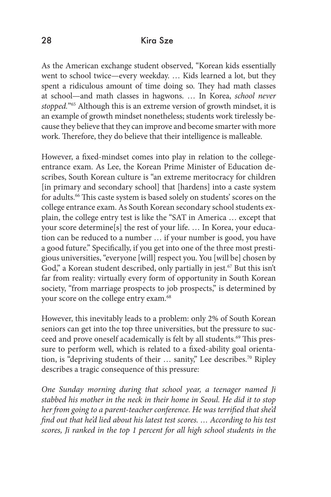As the American exchange student observed, "Korean kids essentially went to school twice—every weekday. … Kids learned a lot, but they spent a ridiculous amount of time doing so. They had math classes at school—and math classes in hagwons. … In Korea, *school never stopped.*"65 Although this is an extreme version of growth mindset, it is an example of growth mindset nonetheless; students work tirelessly because they believe that they can improve and become smarter with more work. Therefore, they do believe that their intelligence is malleable.

However, a fixed-mindset comes into play in relation to the collegeentrance exam. As Lee, the Korean Prime Minister of Education describes, South Korean culture is "an extreme meritocracy for children [in primary and secondary school] that [hardens] into a caste system for adults.<sup>66</sup> This caste system is based solely on students' scores on the college entrance exam. As South Korean secondary school students explain, the college entry test is like the "SAT in America … except that your score determine[s] the rest of your life. … In Korea, your education can be reduced to a number … if your number is good, you have a good future." Specifically, if you get into one of the three most prestigious universities, "everyone [will] respect you. You [will be] chosen by God," a Korean student described, only partially in jest.<sup>67</sup> But this isn't far from reality: virtually every form of opportunity in South Korean society, "from marriage prospects to job prospects," is determined by your score on the college entry exam.<sup>68</sup>

However, this inevitably leads to a problem: only 2% of South Korean seniors can get into the top three universities, but the pressure to succeed and prove oneself academically is felt by all students.<sup>69</sup> This pressure to perform well, which is related to a fixed-ability goal orientation, is "depriving students of their ... sanity," Lee describes.<sup>70</sup> Ripley describes a tragic consequence of this pressure:

*One Sunday morning during that school year, a teenager named Ji stabbed his mother in the neck in their home in Seoul. He did it to stop her from going to a parent-teacher conference. He was terrified that she'd find out that he'd lied about his latest test scores. … According to his test scores, Ji ranked in the top 1 percent for all high school students in the*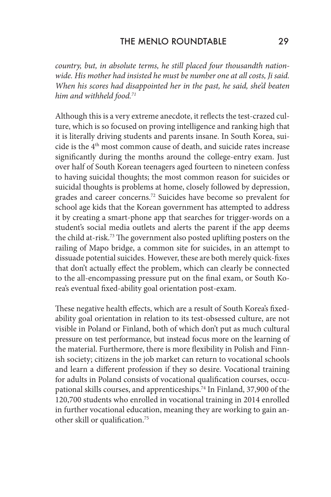*country, but, in absolute terms, he still placed four thousandth nationwide. His mother had insisted he must be number one at all costs, Ji said. When his scores had disappointed her in the past, he said, she'd beaten him and withheld food.71*

Although this is a very extreme anecdote, it reflects the test-crazed culture, which is so focused on proving intelligence and ranking high that it is literally driving students and parents insane. In South Korea, suicide is the 4th most common cause of death, and suicide rates increase significantly during the months around the college-entry exam. Just over half of South Korean teenagers aged fourteen to nineteen confess to having suicidal thoughts; the most common reason for suicides or suicidal thoughts is problems at home, closely followed by depression, grades and career concerns.72 Suicides have become so prevalent for school age kids that the Korean government has attempted to address it by creating a smart-phone app that searches for trigger-words on a student's social media outlets and alerts the parent if the app deems the child at-risk.73 The government also posted uplifting posters on the railing of Mapo bridge, a common site for suicides, in an attempt to dissuade potential suicides. However, these are both merely quick-fixes that don't actually effect the problem, which can clearly be connected to the all-encompassing pressure put on the final exam, or South Korea's eventual fixed-ability goal orientation post-exam.

These negative health effects, which are a result of South Korea's fixedability goal orientation in relation to its test-obsessed culture, are not visible in Poland or Finland, both of which don't put as much cultural pressure on test performance, but instead focus more on the learning of the material. Furthermore, there is more flexibility in Polish and Finnish society; citizens in the job market can return to vocational schools and learn a different profession if they so desire. Vocational training for adults in Poland consists of vocational qualification courses, occupational skills courses, and apprenticeships.<sup>74</sup> In Finland, 37,900 of the 120,700 students who enrolled in vocational training in 2014 enrolled in further vocational education, meaning they are working to gain another skill or qualification.75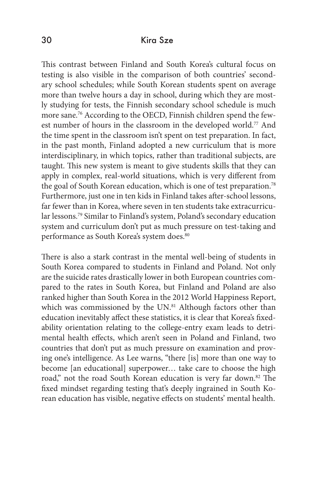This contrast between Finland and South Korea's cultural focus on testing is also visible in the comparison of both countries' secondary school schedules; while South Korean students spent on average more than twelve hours a day in school, during which they are mostly studying for tests, the Finnish secondary school schedule is much more sane.76 According to the OECD, Finnish children spend the fewest number of hours in the classroom in the developed world.77 And the time spent in the classroom isn't spent on test preparation. In fact, in the past month, Finland adopted a new curriculum that is more interdisciplinary, in which topics, rather than traditional subjects, are taught. This new system is meant to give students skills that they can apply in complex, real-world situations, which is very different from the goal of South Korean education, which is one of test preparation.<sup>78</sup> Furthermore, just one in ten kids in Finland takes after-school lessons, far fewer than in Korea, where seven in ten students take extracurricular lessons.79 Similar to Finland's system, Poland's secondary education system and curriculum don't put as much pressure on test-taking and performance as South Korea's system does.<sup>80</sup>

There is also a stark contrast in the mental well-being of students in South Korea compared to students in Finland and Poland. Not only are the suicide rates drastically lower in both European countries compared to the rates in South Korea, but Finland and Poland are also ranked higher than South Korea in the 2012 World Happiness Report, which was commissioned by the UN.<sup>81</sup> Although factors other than education inevitably affect these statistics, it is clear that Korea's fixedability orientation relating to the college-entry exam leads to detrimental health effects, which aren't seen in Poland and Finland, two countries that don't put as much pressure on examination and proving one's intelligence. As Lee warns, "there [is] more than one way to become [an educational] superpower… take care to choose the high road," not the road South Korean education is very far down.<sup>82</sup> The fixed mindset regarding testing that's deeply ingrained in South Korean education has visible, negative effects on students' mental health.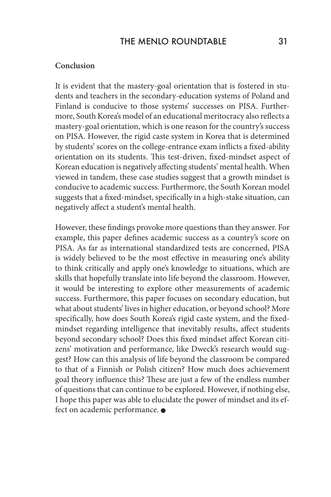#### **Conclusion**

It is evident that the mastery-goal orientation that is fostered in students and teachers in the secondary-education systems of Poland and Finland is conducive to those systems' successes on PISA. Furthermore, South Korea's model of an educational meritocracy also reflects a mastery-goal orientation, which is one reason for the country's success on PISA. However, the rigid caste system in Korea that is determined by students' scores on the college-entrance exam inflicts a fixed-ability orientation on its students. This test-driven, fixed-mindset aspect of Korean education is negatively affecting students' mental health. When viewed in tandem, these case studies suggest that a growth mindset is conducive to academic success. Furthermore, the South Korean model suggests that a fixed-mindset, specifically in a high-stake situation, can negatively affect a student's mental health.

However, these findings provoke more questions than they answer. For example, this paper defines academic success as a country's score on PISA. As far as international standardized tests are concerned, PISA is widely believed to be the most effective in measuring one's ability to think critically and apply one's knowledge to situations, which are skills that hopefully translate into life beyond the classroom. However, it would be interesting to explore other measurements of academic success. Furthermore, this paper focuses on secondary education, but what about students' lives in higher education, or beyond school? More specifically, how does South Korea's rigid caste system, and the fixedmindset regarding intelligence that inevitably results, affect students beyond secondary school? Does this fixed mindset affect Korean citizens' motivation and performance, like Dweck's research would suggest? How can this analysis of life beyond the classroom be compared to that of a Finnish or Polish citizen? How much does achievement goal theory influence this? These are just a few of the endless number of questions that can continue to be explored. However, if nothing else, I hope this paper was able to elucidate the power of mindset and its effect on academic performance.  $\bullet$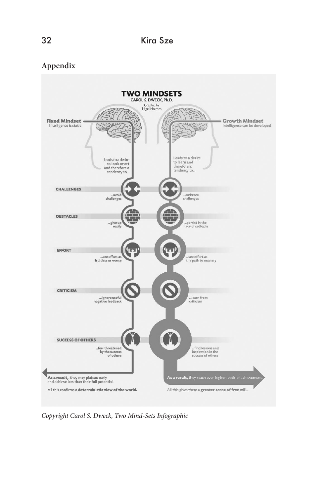## **Appendix**



*Copyright Carol S. Dweck, Two Mind-Sets Infographic*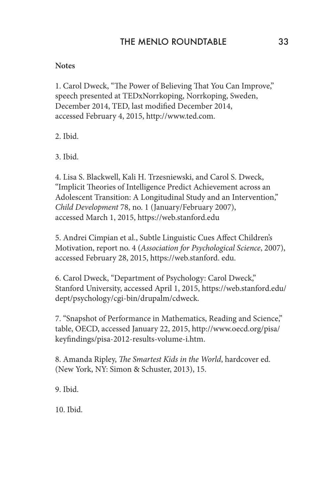### **Notes**

1. Carol Dweck, "The Power of Believing That You Can Improve," speech presented at TEDxNorrkoping, Norrkoping, Sweden, December 2014, TED, last modified December 2014, accessed February 4, 2015, http://www.ted.com.

2. Ibid.

3. Ibid.

4. Lisa S. Blackwell, Kali H. Trzesniewski, and Carol S. Dweck, "Implicit Theories of Intelligence Predict Achievement across an Adolescent Transition: A Longitudinal Study and an Intervention," *Child Development* 78, no. 1 (January/February 2007), accessed March 1, 2015, https://web.stanford.edu

5. Andrei Cimpian et al., Subtle Linguistic Cues Affect Children's Motivation, report no. 4 (*Association for Psychological Science*, 2007), accessed February 28, 2015, https://web.stanford. edu.

6. Carol Dweck, "Department of Psychology: Carol Dweck," Stanford University, accessed April 1, 2015, https://web.stanford.edu/ dept/psychology/cgi-bin/drupalm/cdweck.

7. "Snapshot of Performance in Mathematics, Reading and Science," table, OECD, accessed January 22, 2015, http://www.oecd.org/pisa/ keyfindings/pisa-2012-results-volume-i.htm.

8. Amanda Ripley, *The Smartest Kids in the World*, hardcover ed. (New York, NY: Simon & Schuster, 2013), 15.

9. Ibid.

10. Ibid.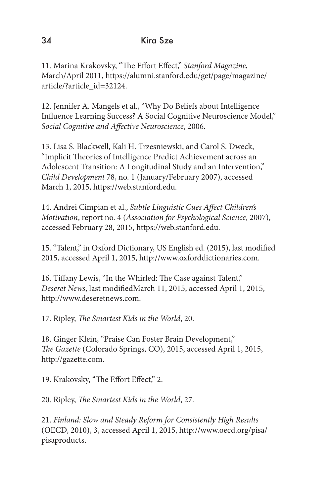11. Marina Krakovsky, "The Effort Effect," *Stanford Magazine*, March/April 2011, https://alumni.stanford.edu/get/page/magazine/ article/?article\_id=32124.

12. Jennifer A. Mangels et al., "Why Do Beliefs about Intelligence Influence Learning Success? A Social Cognitive Neuroscience Model," *Social Cognitive and Affective Neuroscience*, 2006.

13. Lisa S. Blackwell, Kali H. Trzesniewski, and Carol S. Dweck, "Implicit Theories of Intelligence Predict Achievement across an Adolescent Transition: A Longitudinal Study and an Intervention," *Child Development* 78, no. 1 (January/February 2007), accessed March 1, 2015, https://web.stanford.edu.

14. Andrei Cimpian et al., *Subtle Linguistic Cues Affect Children's Motivation*, report no. 4 (*Association for Psychological Science*, 2007), accessed February 28, 2015, https://web.stanford.edu.

15. "Talent," in Oxford Dictionary, US English ed. (2015), last modified 2015, accessed April 1, 2015, http://www.oxforddictionaries.com.

16. Tiffany Lewis, "In the Whirled: The Case against Talent," *Deseret News*, last modifiedMarch 11, 2015, accessed April 1, 2015, http://www.deseretnews.com.

17. Ripley, *The Smartest Kids in the World*, 20.

18. Ginger Klein, "Praise Can Foster Brain Development," *The Gazette* (Colorado Springs, CO), 2015, accessed April 1, 2015, http://gazette.com.

19. Krakovsky, "The Effort Effect," 2.

20. Ripley, *The Smartest Kids in the World*, 27.

21. *Finland: Slow and Steady Reform for Consistently High Results*  (OECD, 2010), 3, accessed April 1, 2015, http://www.oecd.org/pisa/ pisaproducts.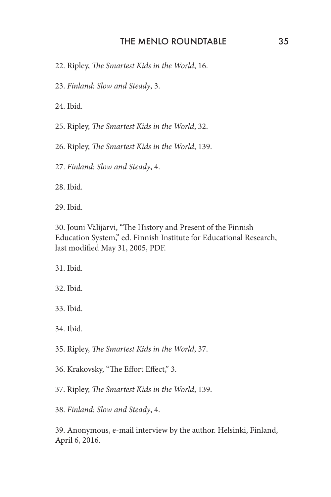### THE MENLO ROUNDTABLE 35

- 22. Ripley, *The Smartest Kids in the World*, 16.
- 23. *Finland: Slow and Steady*, 3.

24. Ibid.

25. Ripley, *The Smartest Kids in the World*, 32.

26. Ripley, *The Smartest Kids in the World*, 139.

27. *Finland: Slow and Steady*, 4.

28. Ibid.

29. Ibid.

30. Jouni Välijärvi, "The History and Present of the Finnish Education System," ed. Finnish Institute for Educational Research, last modified May 31, 2005, PDF.

31. Ibid.

- 32. Ibid.
- 33. Ibid.
- 34. Ibid.
- 35. Ripley, *The Smartest Kids in the World*, 37.
- 36. Krakovsky, "The Effort Effect," 3.
- 37. Ripley, *The Smartest Kids in the World*, 139.

38. *Finland: Slow and Steady*, 4.

39. Anonymous, e-mail interview by the author. Helsinki, Finland, April 6, 2016.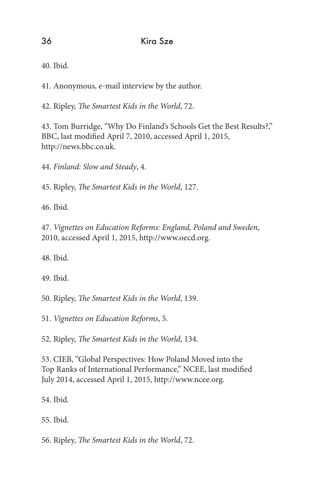40. Ibid.

41. Anonymous, e-mail interview by the author.

42. Ripley, *The Smartest Kids in the World*, 72.

43. Tom Burridge, "Why Do Finland's Schools Get the Best Results?," BBC, last modified April 7, 2010, accessed April 1, 2015, http://news.bbc.co.uk.

44. *Finland: Slow and Steady*, 4.

45. Ripley, *The Smartest Kids in the World*, 127.

46. Ibid.

47. *Vignettes on Education Reforms: England, Poland and Sweden*, 2010, accessed April 1, 2015, http://www.oecd.org.

48. Ibid.

49. Ibid.

50. Ripley, *The Smartest Kids in the World*, 139.

51. *Vignettes on Education Reforms*, 5.

52. Ripley, *The Smartest Kids in the World*, 134.

53. CIEB, "Global Perspectives: How Poland Moved into the Top Ranks of International Performance," NCEE, last modified July 2014, accessed April 1, 2015, http://www.ncee.org.

54. Ibid.

55. Ibid.

56. Ripley, *The Smartest Kids in the World*, 72.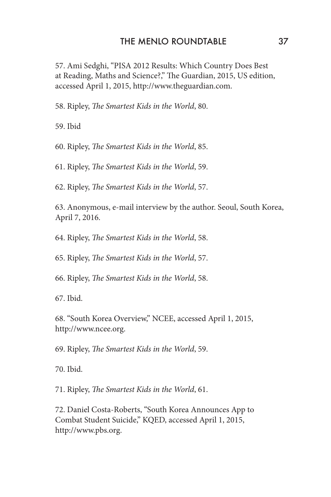#### THE MENLO ROUNDTABLE 37

57. Ami Sedghi, "PISA 2012 Results: Which Country Does Best at Reading, Maths and Science?," The Guardian, 2015, US edition, accessed April 1, 2015, http://www.theguardian.com.

58. Ripley, *The Smartest Kids in the World*, 80.

59. Ibid

60. Ripley, *The Smartest Kids in the World*, 85.

61. Ripley, *The Smartest Kids in the World*, 59.

62. Ripley, *The Smartest Kids in the World*, 57.

63. Anonymous, e-mail interview by the author. Seoul, South Korea, April 7, 2016.

64. Ripley, *The Smartest Kids in the World*, 58.

65. Ripley, *The Smartest Kids in the World*, 57.

66. Ripley, *The Smartest Kids in the World*, 58.

67. Ibid.

68. "South Korea Overview," NCEE, accessed April 1, 2015, http://www.ncee.org.

69. Ripley, *The Smartest Kids in the World*, 59.

70. Ibid.

71. Ripley, *The Smartest Kids in the World*, 61.

72. Daniel Costa-Roberts, "South Korea Announces App to Combat Student Suicide," KQED, accessed April 1, 2015, http://www.pbs.org.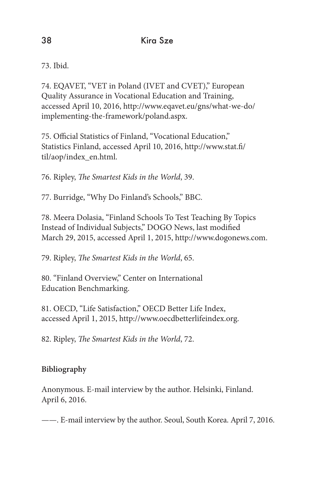73. Ibid.

74. EQAVET, "VET in Poland (IVET and CVET)," European Quality Assurance in Vocational Education and Training, accessed April 10, 2016, http://www.eqavet.eu/gns/what-we-do/ implementing-the-framework/poland.aspx.

75. Official Statistics of Finland, "Vocational Education," Statistics Finland, accessed April 10, 2016, http://www.stat.fi/ til/aop/index\_en.html.

76. Ripley, *The Smartest Kids in the World*, 39.

77. Burridge, "Why Do Finland's Schools," BBC.

78. Meera Dolasia, "Finland Schools To Test Teaching By Topics Instead of Individual Subjects," DOGO News, last modified March 29, 2015, accessed April 1, 2015, http://www.dogonews.com.

79. Ripley, *The Smartest Kids in the World*, 65.

80. "Finland Overview," Center on International Education Benchmarking.

81. OECD, "Life Satisfaction," OECD Better Life Index, accessed April 1, 2015, http://www.oecdbetterlifeindex.org.

82. Ripley, *The Smartest Kids in the World*, 72.

# **Bibliography**

Anonymous. E-mail interview by the author. Helsinki, Finland. April 6, 2016.

——. E-mail interview by the author. Seoul, South Korea. April 7, 2016.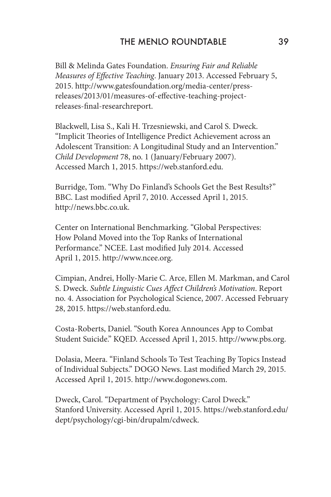Bill & Melinda Gates Foundation. *Ensuring Fair and Reliable Measures of Effective Teaching*. January 2013. Accessed February 5, 2015. http://www.gatesfoundation.org/media-center/pressreleases/2013/01/measures-of-effective-teaching-projectreleases-final-researchreport.

Blackwell, Lisa S., Kali H. Trzesniewski, and Carol S. Dweck. "Implicit Theories of Intelligence Predict Achievement across an Adolescent Transition: A Longitudinal Study and an Intervention." *Child Development* 78, no. 1 (January/February 2007). Accessed March 1, 2015. https://web.stanford.edu.

Burridge, Tom. "Why Do Finland's Schools Get the Best Results?" BBC. Last modified April 7, 2010. Accessed April 1, 2015. http://news.bbc.co.uk.

Center on International Benchmarking. "Global Perspectives: How Poland Moved into the Top Ranks of International Performance." NCEE. Last modified July 2014. Accessed April 1, 2015. http://www.ncee.org.

Cimpian, Andrei, Holly-Marie C. Arce, Ellen M. Markman, and Carol S. Dweck. *Subtle Linguistic Cues Affect Children's Motivation*. Report no. 4. Association for Psychological Science, 2007. Accessed February 28, 2015. https://web.stanford.edu.

Costa-Roberts, Daniel. "South Korea Announces App to Combat Student Suicide." KQED. Accessed April 1, 2015. http://www.pbs.org.

Dolasia, Meera. "Finland Schools To Test Teaching By Topics Instead of Individual Subjects." DOGO News. Last modified March 29, 2015. Accessed April 1, 2015. http://www.dogonews.com.

Dweck, Carol. "Department of Psychology: Carol Dweck." Stanford University. Accessed April 1, 2015. https://web.stanford.edu/ dept/psychology/cgi-bin/drupalm/cdweck.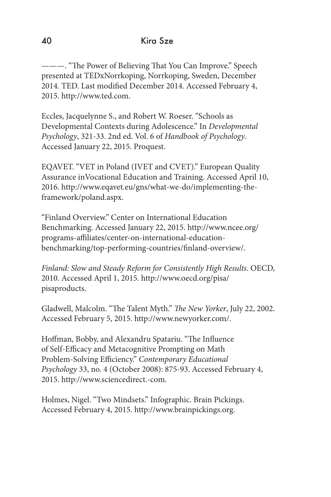———. "The Power of Believing That You Can Improve." Speech presented at TEDxNorrkoping, Norrkoping, Sweden, December 2014. TED. Last modified December 2014. Accessed February 4, 2015. http://www.ted.com.

Eccles, Jacquelynne S., and Robert W. Roeser. "Schools as Developmental Contexts during Adolescence." In *Developmental Psychology*, 321-33. 2nd ed. Vol. 6 of *Handbook of Psychology*. Accessed January 22, 2015. Proquest.

EQAVET. "VET in Poland (IVET and CVET)." European Quality Assurance inVocational Education and Training. Accessed April 10, 2016. http://www.eqavet.eu/gns/what-we-do/implementing-theframework/poland.aspx.

"Finland Overview." Center on International Education Benchmarking. Accessed January 22, 2015. http://www.ncee.org/ programs-affiliates/center-on-international-educationbenchmarking/top-performing-countries/finland-overview/.

*Finland: Slow and Steady Reform for Consistently High Results*. OECD, 2010. Accessed April 1, 2015. http://www.oecd.org/pisa/ pisaproducts.

Gladwell, Malcolm. "The Talent Myth." *The New Yorker*, July 22, 2002. Accessed February 5, 2015. http://www.newyorker.com/.

Hoffman, Bobby, and Alexandru Spatariu. "The Influence of Self-Efficacy and Metacognitive Prompting on Math Problem-Solving Efficiency." *Contemporary Educational Psychology* 33, no. 4 (October 2008): 875-93. Accessed February 4, 2015. http://www.sciencedirect.-com.

Holmes, Nigel. "Two Mindsets." Infographic. Brain Pickings. Accessed February 4, 2015. http://www.brainpickings.org.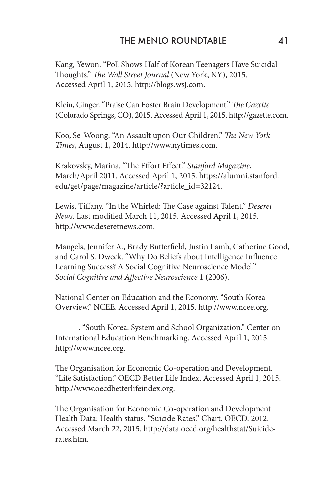Kang, Yewon. "Poll Shows Half of Korean Teenagers Have Suicidal Thoughts." *The Wall Street Journal* (New York, NY), 2015. Accessed April 1, 2015. http://blogs.wsj.com.

Klein, Ginger. "Praise Can Foster Brain Development." *The Gazette* (Colorado Springs, CO), 2015. Accessed April 1, 2015. http://gazette.com.

Koo, Se-Woong. "An Assault upon Our Children." *The New York Times*, August 1, 2014. http://www.nytimes.com.

Krakovsky, Marina. "The Effort Effect." *Stanford Magazine*, March/April 2011. Accessed April 1, 2015. https://alumni.stanford. edu/get/page/magazine/article/?article\_id=32124.

Lewis, Tiffany. "In the Whirled: The Case against Talent." *Deseret News*. Last modified March 11, 2015. Accessed April 1, 2015. http://www.deseretnews.com.

Mangels, Jennifer A., Brady Butterfield, Justin Lamb, Catherine Good, and Carol S. Dweck. "Why Do Beliefs about Intelligence Influence Learning Success? A Social Cognitive Neuroscience Model." *Social Cognitive and Affective Neuroscience* 1 (2006).

National Center on Education and the Economy. "South Korea Overview." NCEE. Accessed April 1, 2015. http://www.ncee.org.

———. "South Korea: System and School Organization." Center on International Education Benchmarking. Accessed April 1, 2015. http://www.ncee.org.

The Organisation for Economic Co-operation and Development. "Life Satisfaction." OECD Better Life Index. Accessed April 1, 2015. http://www.oecdbetterlifeindex.org.

The Organisation for Economic Co-operation and Development Health Data: Health status. "Suicide Rates." Chart. OECD. 2012. Accessed March 22, 2015. http://data.oecd.org/healthstat/Suiciderates.htm.